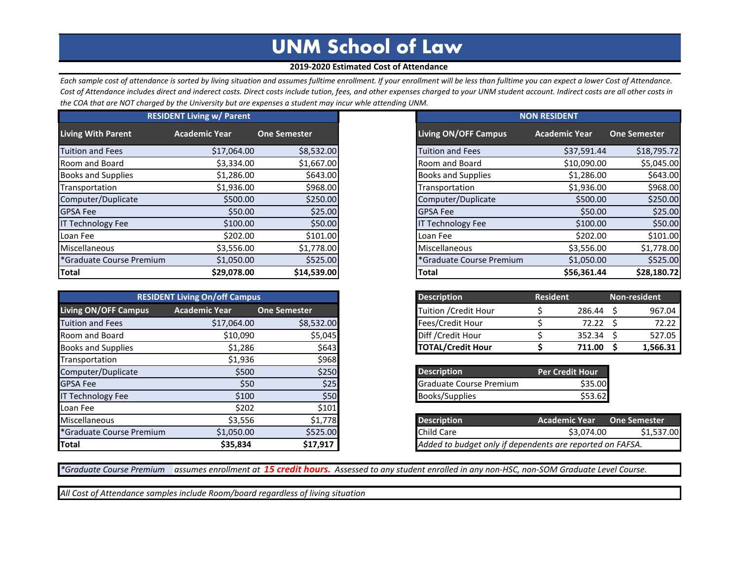## **UNM School of Law**

## **2019-2020 Estimated Cost of Attendance**

*Each sample cost of attendance is sorted by living situation and assumes fulltime enrollment. If your enrollment will be less than fulltime you can expect a lower Cost of Attendance. Cost of Attendance includes direct and inderect costs. Direct costs include tution, fees, and other expenses charged to your UNM student account. Indirect costs are all other costs in the COA that are NOT charged by the University but are expenses a student may incur whle attending UNM.*

| <b>RESIDENT Living w/ Parent</b>     |                      |                     |  |
|--------------------------------------|----------------------|---------------------|--|
| <b>Living With Parent</b>            | <b>Academic Year</b> | <b>One Semester</b> |  |
| <b>Tuition and Fees</b>              | \$17,064.00          | \$8,532.00          |  |
| Room and Board                       | \$3,334.00           | \$1,667.00          |  |
| <b>Books and Supplies</b>            | \$1,286.00           | \$643.00            |  |
| Transportation                       | \$1,936.00           | \$968.00            |  |
| Computer/Duplicate                   | \$500.00             | \$250.00            |  |
| <b>GPSA Fee</b>                      | \$50.00              | \$25.00             |  |
| <b>IT Technology Fee</b>             | \$100.00             | \$50.00             |  |
| Loan Fee                             | \$202.00             | \$101.00            |  |
| Miscellaneous                        | \$3,556.00           | \$1,778.00          |  |
| <sup>*</sup> Graduate Course Premium | \$1,050.00           | \$525.00            |  |
| <b>Total</b>                         | \$29,078.00          | \$14,539.00         |  |

|                             | <b>RESIDENT Living On/off Campus</b> |                     |
|-----------------------------|--------------------------------------|---------------------|
| <b>Living ON/OFF Campus</b> | <b>Academic Year</b>                 | <b>One Semester</b> |
| <b>Tuition and Fees</b>     | \$17,064.00                          | \$8,532.00          |
| Room and Board              | \$10,090                             | \$5,045             |
| <b>Books and Supplies</b>   | \$1,286                              | \$643               |
| Transportation              | \$1,936                              | \$968               |
| Computer/Duplicate          | \$500                                | \$250               |
| <b>GPSA Fee</b>             | \$50                                 | \$25                |
| <b>IT Technology Fee</b>    | \$100                                | \$50                |
| Loan Fee                    | \$202                                | \$101               |
| <b>Miscellaneous</b>        | \$3,556                              | \$1,778             |
| *Graduate Course Premium    | \$1,050.00                           | \$525.00            |
| <b>Total</b>                | \$35,834                             | \$17,917            |

| <b>NON RESIDENT</b>         |                      |                     |  |  |  |  |
|-----------------------------|----------------------|---------------------|--|--|--|--|
| <b>Living ON/OFF Campus</b> | <b>Academic Year</b> | <b>One Semester</b> |  |  |  |  |
| <b>Tuition and Fees</b>     | \$37,591.44          | \$18,795.72         |  |  |  |  |
| Room and Board              | \$10,090.00          | \$5,045.00          |  |  |  |  |
| <b>Books and Supplies</b>   | \$1,286.00           | \$643.00            |  |  |  |  |
| Transportation              | \$1,936.00           | \$968.00            |  |  |  |  |
| Computer/Duplicate          | \$500.00             | \$250.00            |  |  |  |  |
| <b>GPSA Fee</b>             | \$50.00              | \$25.00             |  |  |  |  |
| <b>IT Technology Fee</b>    | \$100.00             | \$50.00             |  |  |  |  |
| Loan Fee                    | \$202.00             | \$101.00            |  |  |  |  |
| Miscellaneous               | \$3,556.00           | \$1,778.00          |  |  |  |  |
| *Graduate Course Premium    | \$1,050.00           | \$525.00            |  |  |  |  |
| <b>Total</b>                | \$56,361.44          | \$28,180.72         |  |  |  |  |

| <b>Description</b>       | <b>Resident</b> | <b>Non-resident</b> |  |          |  |
|--------------------------|-----------------|---------------------|--|----------|--|
| Tuition / Credit Hour    |                 | 286.44              |  | 967.04   |  |
| Fees/Credit Hour         |                 | 72.22               |  | 72 22    |  |
| Diff / Credit Hour       |                 | 352.34              |  | 527.05   |  |
| <b>TOTAL/Credit Hour</b> |                 | 711.00              |  | 1,566.31 |  |

| <b>Description</b>             | <b>Per Credit Hour</b> |
|--------------------------------|------------------------|
| <b>Graduate Course Premium</b> | \$35.00                |
| <b>Books/Supplies</b>          | \$53.62                |

| <b>Description</b>                                        | <b>Academic Year</b> | One Semester |
|-----------------------------------------------------------|----------------------|--------------|
| Child Care                                                | \$3.074.00           | \$1,537.00   |
| Added to budget only if dependents are reported on FAFSA. |                      |              |

*\*Graduate Course Premium assumes enrollment at 15 credit hours. Assessed to any student enrolled in any non-HSC, non-SOM Graduate Level Course.*

*All Cost of Attendance samples include Room/board regardless of living situation*